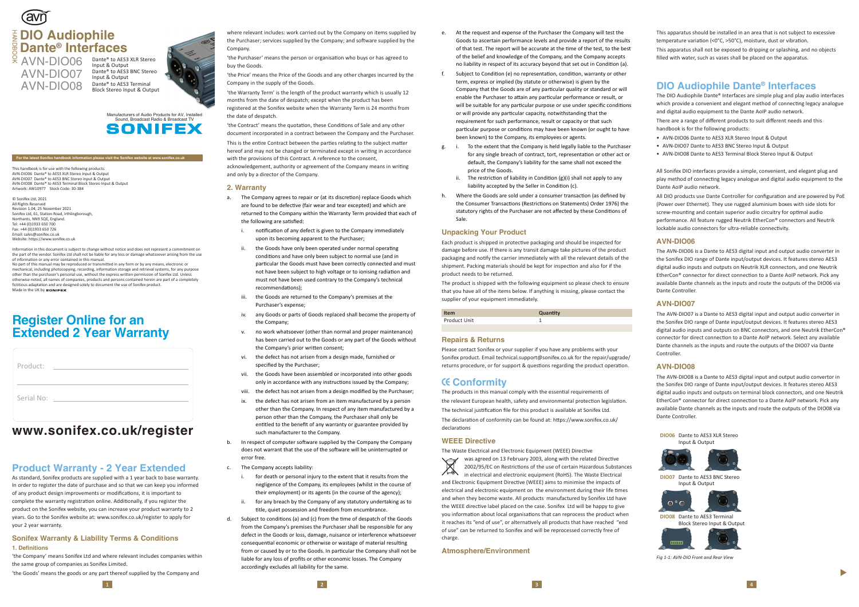This handbook is for use with the following products: AVN-DIO06 Dante® to AES3 XLR Stereo Input & Output AVN-DIO07 Dante® to AES3 BNC Stereo Input & Output AVN-DIO08 Dante® to AES3 Terminal Block Stereo Input & Output Artwork: AW10977 Stock Code: 30-384

© Sonifex Ltd, 2021 All Rights Reserved Revision 1.04, 25 November 2021 Sonifex Ltd, 61, Station Road, Irthlingborough, Northants, NN9 5QE, England. Tel: +44 (0)1933 650 700 Fax: +44 (0)1933 650 726 Email: sales@sonifex.co.uk Website: https://www.sonifex.co.uk

No part of this manual may be reproduced or transmitted in any form or by any means, electronic or mechanical, including photocopying, recording, information storage and retrieval systems, for any purpose other than the purchaser's personal use, without the express written permission of Sonifex Ltd. Unless otherwise noted, all names of companies, products and persons contained herein are part of a completely fictitious adaptation and are designed solely to document the use of Sonifex product. Made in the UK by sonIFFX

Information in this document is subject to change without notice and does not represent a commitment on the part of the vendor. Sonifex Ltd shall not be liable for any loss or damage whatsoever arising from the use of information or any error contained in this manual.

'the Purchaser' means the person or organisation who buys or has agreed to buy the Goods.

# **Product Warranty - 2 Year Extended**

As standard, Sonifex products are supplied with a 1 year back to base warranty. In order to register the date of purchase and so that we can keep you informed of any product design improvements or modifications, it is important to complete the warranty registration online. Additionally, if you register the product on the Sonifex website, you can increase your product warranty to 2 years. Go to the Sonifex website at: www.sonifex.co.uk/register to apply for your 2 year warranty.

'the Contract' means the quotation, these Conditions of Sale and any other document incorporated in a contract between the Company and the Purchaser. This is the entire Contract between the parties relating to the subject matter hereof and may not be changed or terminated except in writing in accordance with the provisions of this Contract. A reference to the consent, acknowledgement, authority or agreement of the Company means in writing and only by a director of the Company.

#### **Sonifex Warranty & Liability Terms & Conditions 1. Definitions**

'the Company' means Sonifex Ltd and where relevant includes companies within the same group of companies as Sonifex Limited.

'the Goods' means the goods or any part thereof supplied by the Company and

where relevant includes: work carried out by the Company on items supplied by the Purchaser; services supplied by the Company; and software supplied by the Company.

'the Price' means the Price of the Goods and any other charges incurred by the Company in the supply of the Goods.

'the Warranty Term' is the length of the product warranty which is usually 12 months from the date of despatch; except when the product has been registered at the Sonifex website when the Warranty Term is 24 months from the date of despatch.

- a. The Company agrees to repair or (at its discretion) replace Goods which are found to be defective (fair wear and tear excepted) and which are returned to the Company within the Warranty Term provided that each of the following are satisfied:
	- i. notification of any defect is given to the Company immediately upon its becoming apparent to the Purchaser;
	- ii. the Goods have only been operated under normal operating conditions and have only been subject to normal use (and in particular the Goods must have been correctly connected and must not have been subject to high voltage or to ionising radiation and must not have been used contrary to the Company's technical recommendations):
	- iii. the Goods are returned to the Company's premises at the Purchaser's expense;
	- iv. any Goods or parts of Goods replaced shall become the property of the Company;
	- v. no work whatsoever (other than normal and proper maintenance) has been carried out to the Goods or any part of the Goods without the Company's prior written consent;
	- vi. the defect has not arisen from a design made, furnished or specified by the Purchaser;
	- vii. the Goods have been assembled or incorporated into other goods only in accordance with any instructions issued by the Company;
	- viii. the defect has not arisen from a design modified by the Purchaser;
	- ix. the defect has not arisen from an item manufactured by a person other than the Company. In respect of any item manufactured by a person other than the Company, the Purchaser shall only be entitled to the benefit of any warranty or guarantee provided by such manufacturer to the Company.
- b. In respect of computer software supplied by the Company the Company does not warrant that the use of the so�ware will be uninterrupted or error free.
- c. The Company accepts liability:
	- i. for death or personal injury to the extent that it results from the negligence of the Company, its employees (whilst in the course of their employment) or its agents (in the course of the agency);
	- ii. for any breach by the Company of any statutory undertaking as to title, quiet possession and freedom from encumbrance.
- d. Subject to conditions (a) and (c) from the time of despatch of the Goods from the Company's premises the Purchaser shall be responsible for any defect in the Goods or loss, damage, nuisance or interference whatsoever consequential economic or otherwise or wastage of material resulting from or caused by or to the Goods. In particular the Company shall not be liable for any loss of profits or other economic losses. The Company accordingly excludes all liability for the same.

#### **2. Warranty**

Please contact Sonifex or your supplier if you have any problems with your Sonifex product. Email technical.support@sonifex.co.uk for the repair/upgrade/ returns procedure, or for support & questions regarding the product operation.

was agreed on 13 February 2003, along with the related Directive  $\forall$ 2002/95/EC on Restrictions of the use of certain Hazardous Substances  $\sqrt{2}$ in electrical and electronic equipment (RoHS). The Waste Electrical and Electronic Equipment Directive (WEEE) aims to minimise the impacts of electrical and electronic equipment on the environment during their life times and when they become waste. All products manufactured by Sonifex Ltd have the WEEE directive label placed on the case. Sonifex Ltd will be happy to give you information about local organisations that can reprocess the product when it reaches its "end of use", or alternatively all products that have reached "end of use" can be returned to Sonifex and will be reprocessed correctly free of charge.

This apparatus should be installed in an area that is not subject to excessive temperature variation (<0°C, >50°C), moisture, dust or vibration.

# **Register Online for an Extended 2 Year Warranty**

# avñ **DIO Audiophile Dante® Interfaces**

AVN-DIO07 AVN-DIO08 Dante® to AES3 Terminal **AVN-DIO08** Block Stereo Input & Output  $\frac{8}{2}$  AVN-DIO06

For the latest Sonifex handbook information please visit the Sonifex website at www.sonifex.co.uk<br>For the latest Sonifex handbook information please visit the Sonifex website at www.sonifex.co.uk<br>For the latest Sonifex han Dante® to AES3 XLR Stereo Input & Output Dante® to AES3 BNC Stereo Input & Output<br>Dante® to AES3 Terminal



- e. At the request and expense of the Purchaser the Company will test the Goods to ascertain performance levels and provide a report of the results of that test. The report will be accurate at the time of the test, to the best of the belief and knowledge of the Company, and the Company accepts no liability in respect of its accuracy beyond that set out in Condition (a).
- f. Subject to Condition (e) no representation, condition, warranty or other term, express or implied (by statute or otherwise) is given by the Company that the Goods are of any par�cular quality or standard or will enable the Purchaser to attain any particular performance or result, or will be suitable for any particular purpose or use under specific conditions or will provide any particular capacity, notwithstanding that the requirement for such performance, result or capacity or that such particular purpose or conditions may have been known (or ought to have been known) to the Company, its employees or agents.
- g. i. To the extent that the Company is held legally liable to the Purchaser for any single breach of contract, tort, representation or other act or default, the Company's liability for the same shall not exceed the price of the Goods.
	- The restriction of liability in Condition (g)(i) shall not apply to any liability accepted by the Seller in Condition (c).
- h. Where the Goods are sold under a consumer transaction (as defined by the Consumer Transactions (Restrictions on Statements) Order 1976) the statutory rights of the Purchaser are not affected by these Conditions of Sale.

### **Unpacking Your Product**

Each product is shipped in protec�ve packaging and should be inspected for damage before use. If there is any transit damage take pictures of the product packaging and no�fy the carrier immediately with all the relevant details of the shipment. Packing materials should be kept for inspec�on and also for if the product needs to be returned.

The product is shipped with the following equipment so please check to ensure that you have all of the items below. If anything is missing, please contact the supplier of your equipment immediately.

| Item         | <b>Quantity</b> |
|--------------|-----------------|
| Product Unit |                 |
|              |                 |

#### **Repairs & Returns**

# **Conformity**

The products in this manual comply with the essential requirements of the relevant European health, safety and environmental protection legislation. The technical justification file for this product is available at Sonifex Ltd. The declaration of conformity can be found at: https://www.sonifex.co.uk/ declarations

#### **WEEE Directive**

The Waste Electrical and Electronic Equipment (WEEE) Directive

#### **Atmosphere/Environment**

This apparatus shall not be exposed to dripping or splashing, and no objects filled with water, such as vases shall be placed on the apparatus.

# **www.sonifex.co.uk/register**

| Product:   |  |
|------------|--|
| Serial No: |  |

Manufacturers of Audio Products for AV, Installed Sound, Broadcast Radio & Broadcast TV



# **DIO Audiophile Dante ® Interfaces**

The DIO Audiophile Dante® Interfaces are simple plug and play audio interfaces which provide a convenient and elegant method of connecting legacy analogue and digital audio equipment to the Dante AoIP audio network.

There are a range of different products to suit different needs and this handbook is for the following products:

- AVN-DIO06 Dante to AES3 XLR Stereo Input & Output
- AVN-DIO07 Dante to AES3 BNC Stereo Input & Output
- AVN-DIO08 Dante to AES3 Terminal Block Stereo Input & Output

All Sonifex DIO interfaces provide a simple, convenient, and elegant plug and play method of connecting legacy analogue and digital audio equipment to the Dante AoIP audio network.

All DIO products use Dante Controller for configuration and are powered by PoE (Power over Ethernet). They use rugged aluminium boxes with side slots for screw-mounting and contain superior audio circuitry for optimal audio performance. All feature rugged Neutrik EtherCon® connectors and Neutrik lockable audio connectors for ultra-reliable connectivity.

### **AVN-DIO06**

The AVN-DIO06 is a Dante to AES3 digital input and output audio converter in the Sonifex DIO range of Dante input/output devices. It features stereo AES3 digital audio inputs and outputs on Neutrik XLR connectors, and one Neutrik EtherCon® connector for direct connection to a Dante AoIP network. Pick any available Dante channels as the inputs and route the outputs of the DIO06 via Dante Controller.

#### **AVN-DIO07**

The AVN-DIO07 is a Dante to AES3 digital input and output audio converter in the Sonifex DIO range of Dante input/output devices. It features stereo AES3 digital audio inputs and outputs on BNC connectors, and one Neutrik EtherCon® connector for direct connection to a Dante AoIP network. Select any available Dante channels as the inputs and route the outputs of the DIO07 via Dante Controller.

#### **AVN-DIO08**

The AVN-DIO08 is a Dante to AES3 digital input and output audio convertor in the Sonifex DIO range of Dante input/output devices. It features stereo AES3 digital audio inputs and outputs on terminal block connectors, and one Neutrik EtherCon® connector for direct connection to a Dante AoIP network. Pick any available Dante channels as the inputs and route the outputs of the DIO08 via Dante Controller.



*Fig 1-1: AVN-DIO Front and Rear View*

 $\blacktriangleright$